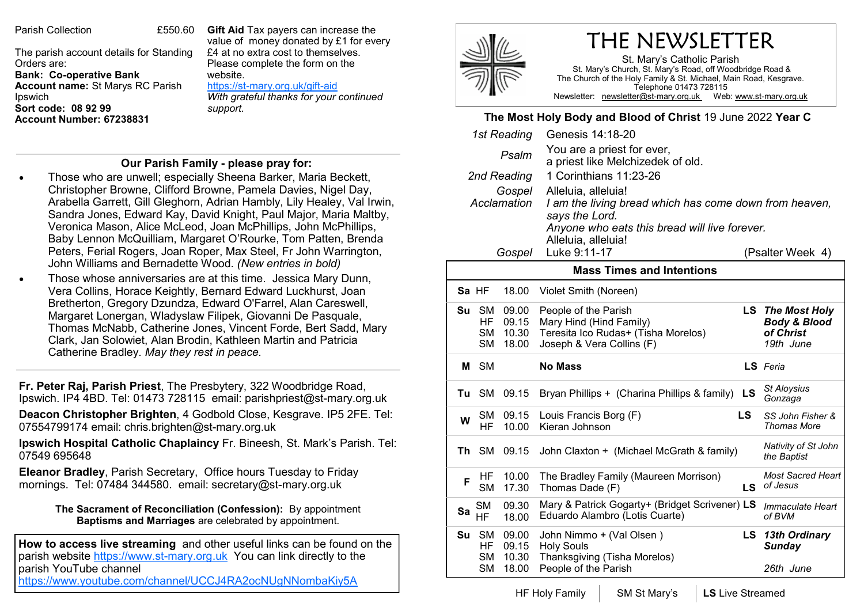Parish Collection 6550.60

The parish account details for Standing Orders are: **Bank: Co-operative Bank Account name:** St Marys RC Parish Ipswich **Sort code: 08 92 99 Account Number: 67238831** 

**Gift Aid** Tax payers can increase the value of money donated by £1 for every £4 at no extra cost to themselves. Please complete the form on the website. https://st-[mary.org.uk/gift](https://www.st-mary.org.uk/gift-aid)-aid

*With grateful thanks for your continued support.*

## **Our Parish Family - please pray for:**

- Those who are unwell; especially Sheena Barker, Maria Beckett, Christopher Browne, Clifford Browne, Pamela Davies, Nigel Day, Arabella Garrett, Gill Gleghorn, Adrian Hambly, Lily Healey, Val Irwin, Sandra Jones, Edward Kay, David Knight, Paul Major, Maria Maltby, Veronica Mason, Alice McLeod, Joan McPhillips, John McPhillips, Baby Lennon McQuilliam, Margaret O'Rourke, Tom Patten, Brenda Peters, Ferial Rogers, Joan Roper, Max Steel, Fr John Warrington, John Williams and Bernadette Wood. *(New entries in bold)*
- Those whose anniversaries are at this time. Jessica Mary Dunn, Vera Collins, Horace Keightly, Bernard Edward Luckhurst, Joan Bretherton, Gregory Dzundza, Edward O'Farrel, Alan Careswell, Margaret Lonergan, Wladyslaw Filipek, Giovanni De Pasquale, Thomas McNabb, Catherine Jones, Vincent Forde, Bert Sadd, Mary Clark, Jan Solowiet, Alan Brodin, Kathleen Martin and Patricia Catherine Bradley. *May they rest in peace.*

**Fr. Peter Raj, Parish Priest**, The Presbytery, 322 Woodbridge Road, Ipswich. IP4 4BD. Tel: 01473 728115 email: parishpriest@st-mary.org.uk

**Deacon Christopher Brighten**, 4 Godbold Close, Kesgrave. IP5 2FE. Tel: 07554799174 email: chris.brighten@st-mary.org.uk

**Ipswich Hospital Catholic Chaplaincy** Fr. Bineesh, St. Mark's Parish. Tel: 07549 695648

**Eleanor Bradley**, Parish Secretary, Office hours Tuesday to Friday mornings. Tel: 07484 344580. email: secretary@st-mary.org.uk

> **The Sacrament of Reconciliation (Confession):** By appointment **Baptisms and Marriages** are celebrated by appointment.

**How to access live streaming** and other useful links can be found on the parish website https://www.st-mary.org.uk You can link directly to the parish YouTube channel <https://www.youtube.com/channel/UCCJ4RA2ocNUgNNombaKiy5A>

THE NEWSLETTER

St. Mary's Catholic Parish St. Mary's Church, St. Mary's Road, off Woodbridge Road & The Church of the Holy Family & St. Michael, Main Road, Kesgrave. Telephone 01473 728115 Newsletter: newsletter@st-mary.org.uk Web: www.st-mary.org.uk

## **The Most Holy Body and Blood of Christ** 19 June 2022 **Year C**

| 1st Reading                                                          |                                     |                         | Genesis 14:18-20                                                                 |                  |                                        |
|----------------------------------------------------------------------|-------------------------------------|-------------------------|----------------------------------------------------------------------------------|------------------|----------------------------------------|
| Psalm                                                                |                                     |                         | You are a priest for ever,<br>a priest like Melchizedek of old.                  |                  |                                        |
| 2nd Reading                                                          |                                     |                         | 1 Corinthians 11:23-26                                                           |                  |                                        |
| Gospel                                                               |                                     |                         | Alleluia, alleluia!                                                              |                  |                                        |
| Acclamation                                                          |                                     |                         | I am the living bread which has come down from heaven,                           |                  |                                        |
|                                                                      |                                     |                         | says the Lord.                                                                   |                  |                                        |
| Anyone who eats this bread will live forever.<br>Alleluia, alleluia! |                                     |                         |                                                                                  |                  |                                        |
| Gospel                                                               |                                     |                         | Luke 9:11-17                                                                     | (Psalter Week 4) |                                        |
|                                                                      |                                     |                         |                                                                                  |                  |                                        |
| <b>Mass Times and Intentions</b>                                     |                                     |                         |                                                                                  |                  |                                        |
|                                                                      | Sa HF                               | 18.00                   | Violet Smith (Noreen)                                                            |                  |                                        |
| Su                                                                   | <b>SM</b>                           | 09.00                   | People of the Parish                                                             |                  | <b>LS</b> The Most Holy                |
|                                                                      | HF                                  | 09.15                   | Mary Hind (Hind Family)                                                          |                  | <b>Body &amp; Blood</b>                |
|                                                                      | <b>SM</b><br><b>SM</b>              | 10.30<br>18.00          | Teresita Ico Rudas+ (Tisha Morelos)<br>Joseph & Vera Collins (F)                 |                  | of Christ<br>19th June                 |
|                                                                      |                                     |                         |                                                                                  |                  |                                        |
|                                                                      | M SM                                |                         | <b>No Mass</b>                                                                   |                  | LS Feria                               |
| Tu                                                                   | <b>SM</b>                           | 09.15                   | Bryan Phillips + (Charina Phillips & family)                                     | <b>LS</b>        | St Aloysius<br>Gonzaga                 |
| W                                                                    | SM<br>HF                            | 09.15<br>10.00          | Louis Francis Borg (F)<br>Kieran Johnson                                         | LS               | SS John Fisher &<br><b>Thomas More</b> |
| Th                                                                   | <b>SM</b>                           | 09.15                   | John Claxton + (Michael McGrath & family)                                        |                  | Nativity of St John<br>the Baptist     |
| F                                                                    | HF<br><b>SM</b>                     | 10.00<br>17.30          | The Bradley Family (Maureen Morrison)<br>Thomas Dade (F)                         | LS               | <b>Most Sacred Heart</b><br>of Jesus   |
| Sa                                                                   | <b>SM</b><br>HF                     | 09.30<br>18.00          | Mary & Patrick Gogarty+ (Bridget Scrivener) LS<br>Eduardo Alambro (Lotis Cuarte) |                  | Immaculate Heart<br>of BVM             |
| Su                                                                   | <b>SM</b><br><b>HF</b><br><b>SM</b> | 09.00<br>09.15<br>10.30 | John Nimmo + (Val Olsen )<br><b>Holy Souls</b><br>Thanksgiving (Tisha Morelos)   | LS               | <b>13th Ordinary</b><br><b>Sunday</b>  |
|                                                                      | <b>SM</b>                           | 18.00                   | People of the Parish                                                             |                  | 26th June                              |

HF Holy Family | SM St Mary's | LS Live Streamed